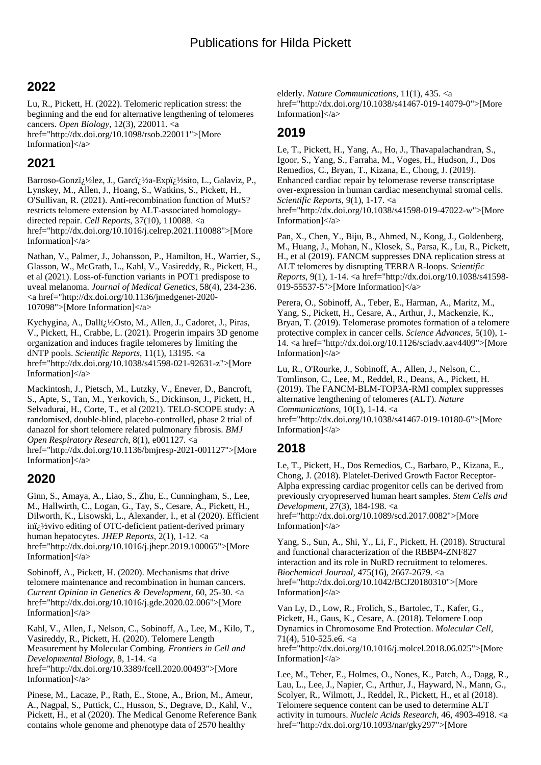## **2022**

Lu, R., Pickett, H. (2022). Telomeric replication stress: the beginning and the end for alternative lengthening of telomeres cancers. *Open Biology*, 12(3), 220011. <a href="http://dx.doi.org/10.1098/rsob.220011">[More Information]</a>

### **2021**

Barroso-Gonzï; ½ lez, J., Garcï; ½ a-Expï; ½ sito, L., Galaviz, P., Lynskey, M., Allen, J., Hoang, S., Watkins, S., Pickett, H., O'Sullivan, R. (2021). Anti-recombination function of MutS? restricts telomere extension by ALT-associated homologydirected repair. *Cell Reports*, 37(10), 110088. <a href="http://dx.doi.org/10.1016/j.celrep.2021.110088">[More Information $\vert \langle \rangle$ 

Nathan, V., Palmer, J., Johansson, P., Hamilton, H., Warrier, S., Glasson, W., McGrath, L., Kahl, V., Vasireddy, R., Pickett, H., et al (2021). Loss-of-function variants in POT1 predispose to uveal melanoma. *Journal of Medical Genetics*, 58(4), 234-236. <a href="http://dx.doi.org/10.1136/jmedgenet-2020- 107098">[More Information]</a>

Kychygina, A., Dalli<sub>l.</sub>1/<sub>2</sub>Osto, M., Allen, J., Cadoret, J., Piras, V., Pickett, H., Crabbe, L. (2021). Progerin impairs 3D genome organization and induces fragile telomeres by limiting the dNTP pools. *Scientific Reports*, 11(1), 13195. <a href="http://dx.doi.org/10.1038/s41598-021-92631-z">[More Information]</a>

Mackintosh, J., Pietsch, M., Lutzky, V., Enever, D., Bancroft, S., Apte, S., Tan, M., Yerkovich, S., Dickinson, J., Pickett, H., Selvadurai, H., Corte, T., et al (2021). TELO-SCOPE study: A randomised, double-blind, placebo-controlled, phase 2 trial of danazol for short telomere related pulmonary fibrosis. *BMJ Open Respiratory Research*, 8(1), e001127. <a href="http://dx.doi.org/10.1136/bmjresp-2021-001127">[More Information]</a>

# **2020**

Ginn, S., Amaya, A., Liao, S., Zhu, E., Cunningham, S., Lee, M., Hallwirth, C., Logan, G., Tay, S., Cesare, A., Pickett, H., Dilworth, K., Lisowski, L., Alexander, I., et al (2020). Efficient ini<sub>i</sub>!/<sub>2</sub>vivo editing of OTC-deficient patient-derived primary human hepatocytes. *JHEP Reports*, 2(1), 1-12. <a href="http://dx.doi.org/10.1016/j.jhepr.2019.100065">[More Information]</a>

Sobinoff, A., Pickett, H. (2020). Mechanisms that drive telomere maintenance and recombination in human cancers. *Current Opinion in Genetics & Development*, 60, 25-30. <a href="http://dx.doi.org/10.1016/j.gde.2020.02.006">[More Information]</a>

Kahl, V., Allen, J., Nelson, C., Sobinoff, A., Lee, M., Kilo, T., Vasireddy, R., Pickett, H. (2020). Telomere Length Measurement by Molecular Combing. *Frontiers in Cell and Developmental Biology*, 8, 1-14. <a href="http://dx.doi.org/10.3389/fcell.2020.00493">[More Information]</a>

Pinese, M., Lacaze, P., Rath, E., Stone, A., Brion, M., Ameur, A., Nagpal, S., Puttick, C., Husson, S., Degrave, D., Kahl, V., Pickett, H., et al (2020). The Medical Genome Reference Bank contains whole genome and phenotype data of 2570 healthy

elderly. *Nature Communications*, 11(1), 435. <a href="http://dx.doi.org/10.1038/s41467-019-14079-0">[More Information]</a>

# **2019**

Le, T., Pickett, H., Yang, A., Ho, J., Thavapalachandran, S., Igoor, S., Yang, S., Farraha, M., Voges, H., Hudson, J., Dos Remedios, C., Bryan, T., Kizana, E., Chong, J. (2019). Enhanced cardiac repair by telomerase reverse transcriptase over-expression in human cardiac mesenchymal stromal cells. *Scientific Reports*, 9(1), 1-17. <a href="http://dx.doi.org/10.1038/s41598-019-47022-w">[More Information]</a>

Pan, X., Chen, Y., Biju, B., Ahmed, N., Kong, J., Goldenberg, M., Huang, J., Mohan, N., Klosek, S., Parsa, K., Lu, R., Pickett, H., et al (2019). FANCM suppresses DNA replication stress at ALT telomeres by disrupting TERRA R-loops. *Scientific Reports*, 9(1), 1-14. <a href="http://dx.doi.org/10.1038/s41598- 019-55537-5">[More Information]</a>

Perera, O., Sobinoff, A., Teber, E., Harman, A., Maritz, M., Yang, S., Pickett, H., Cesare, A., Arthur, J., Mackenzie, K., Bryan, T. (2019). Telomerase promotes formation of a telomere protective complex in cancer cells. *Science Advances*, 5(10), 1- 14. <a href="http://dx.doi.org/10.1126/sciadv.aav4409">[More Information]</a>

Lu, R., O'Rourke, J., Sobinoff, A., Allen, J., Nelson, C., Tomlinson, C., Lee, M., Reddel, R., Deans, A., Pickett, H. (2019). The FANCM-BLM-TOP3A-RMI complex suppresses alternative lengthening of telomeres (ALT). *Nature Communications*, 10(1), 1-14. <a href="http://dx.doi.org/10.1038/s41467-019-10180-6">[More Information]</a>

### **2018**

Le, T., Pickett, H., Dos Remedios, C., Barbaro, P., Kizana, E., Chong, J. (2018). Platelet-Derived Growth Factor Receptor-Alpha expressing cardiac progenitor cells can be derived from previously cryopreserved human heart samples. *Stem Cells and Development*, 27(3), 184-198. <a

href="http://dx.doi.org/10.1089/scd.2017.0082">[More Information]</a>

Yang, S., Sun, A., Shi, Y., Li, F., Pickett, H. (2018). Structural and functional characterization of the RBBP4-ZNF827 interaction and its role in NuRD recruitment to telomeres. *Biochemical Journal*, 475(16), 2667-2679. <a href="http://dx.doi.org/10.1042/BCJ20180310">[More Information]</a>

Van Ly, D., Low, R., Frolich, S., Bartolec, T., Kafer, G., Pickett, H., Gaus, K., Cesare, A. (2018). Telomere Loop Dynamics in Chromosome End Protection. *Molecular Cell*, 71(4), 510-525.e6. <a href="http://dx.doi.org/10.1016/j.molcel.2018.06.025">[More Information]</a>

Lee, M., Teber, E., Holmes, O., Nones, K., Patch, A., Dagg, R., Lau, L., Lee, J., Napier, C., Arthur, J., Hayward, N., Mann, G., Scolyer, R., Wilmott, J., Reddel, R., Pickett, H., et al (2018). Telomere sequence content can be used to determine ALT activity in tumours. *Nucleic Acids Research*, 46, 4903-4918. <a href="http://dx.doi.org/10.1093/nar/gky297">[More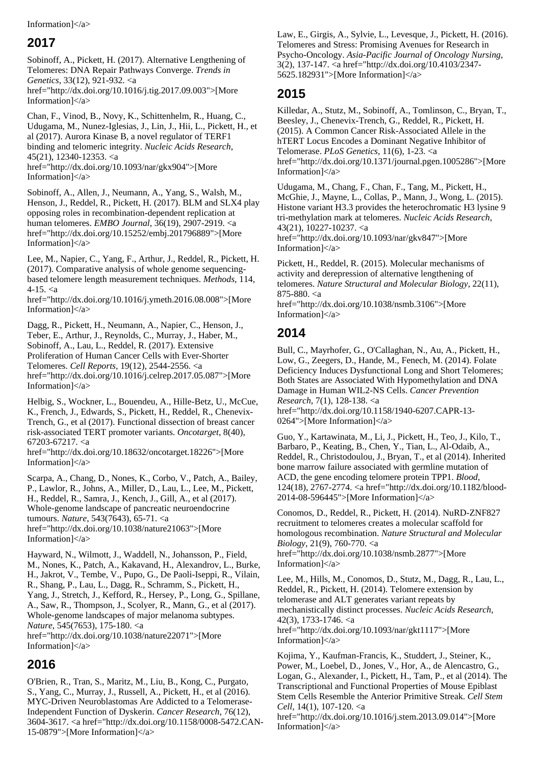#### Information]</a>

### **2017**

Sobinoff, A., Pickett, H. (2017). Alternative Lengthening of Telomeres: DNA Repair Pathways Converge. *Trends in Genetics*, 33(12), 921-932. <a href="http://dx.doi.org/10.1016/j.tig.2017.09.003">[More

Information $\vert \langle \rangle$ Chan, F., Vinod, B., Novy, K., Schittenhelm, R., Huang, C.,

Udugama, M., Nunez-Iglesias, J., Lin, J., Hii, L., Pickett, H., et al (2017). Aurora Kinase B, a novel regulator of TERF1 binding and telomeric integrity. *Nucleic Acids Research*, 45(21), 12340-12353. <a href="http://dx.doi.org/10.1093/nar/gkx904">[More Information]</a>

Sobinoff, A., Allen, J., Neumann, A., Yang, S., Walsh, M., Henson, J., Reddel, R., Pickett, H. (2017). BLM and SLX4 play opposing roles in recombination-dependent replication at human telomeres. *EMBO Journal*, 36(19), 2907-2919. <a href="http://dx.doi.org/10.15252/embj.201796889">[More Information]</a>

Lee, M., Napier, C., Yang, F., Arthur, J., Reddel, R., Pickett, H. (2017). Comparative analysis of whole genome sequencingbased telomere length measurement techniques. *Methods*, 114,  $4 - 15. < a$ 

href="http://dx.doi.org/10.1016/j.ymeth.2016.08.008">[More Information]</a>

Dagg, R., Pickett, H., Neumann, A., Napier, C., Henson, J., Teber, E., Arthur, J., Reynolds, C., Murray, J., Haber, M., Sobinoff, A., Lau, L., Reddel, R. (2017). Extensive Proliferation of Human Cancer Cells with Ever-Shorter Telomeres. *Cell Reports*, 19(12), 2544-2556. <a href="http://dx.doi.org/10.1016/j.celrep.2017.05.087">[More Information]</a>

Helbig, S., Wockner, L., Bouendeu, A., Hille-Betz, U., McCue, K., French, J., Edwards, S., Pickett, H., Reddel, R., Chenevix-Trench, G., et al (2017). Functional dissection of breast cancer risk-associated TERT promoter variants. *Oncotarget*, 8(40), 67203-67217. <a

href="http://dx.doi.org/10.18632/oncotarget.18226">[More Information]</a>

Scarpa, A., Chang, D., Nones, K., Corbo, V., Patch, A., Bailey, P., Lawlor, R., Johns, A., Miller, D., Lau, L., Lee, M., Pickett, H., Reddel, R., Samra, J., Kench, J., Gill, A., et al (2017). Whole-genome landscape of pancreatic neuroendocrine tumours. *Nature*, 543(7643), 65-71. <a href="http://dx.doi.org/10.1038/nature21063">[More Information]</a>

Hayward, N., Wilmott, J., Waddell, N., Johansson, P., Field, M., Nones, K., Patch, A., Kakavand, H., Alexandrov, L., Burke, H., Jakrot, V., Tembe, V., Pupo, G., De Paoli-Iseppi, R., Vilain, R., Shang, P., Lau, L., Dagg, R., Schramm, S., Pickett, H., Yang, J., Stretch, J., Kefford, R., Hersey, P., Long, G., Spillane, A., Saw, R., Thompson, J., Scolyer, R., Mann, G., et al (2017). Whole-genome landscapes of major melanoma subtypes. *Nature*, 545(7653), 175-180. <a href="http://dx.doi.org/10.1038/nature22071">[More Information]</a>

### **2016**

O'Brien, R., Tran, S., Maritz, M., Liu, B., Kong, C., Purgato, S., Yang, C., Murray, J., Russell, A., Pickett, H., et al (2016). MYC-Driven Neuroblastomas Are Addicted to a Telomerase-Independent Function of Dyskerin. *Cancer Research*, 76(12), 3604-3617. <a href="http://dx.doi.org/10.1158/0008-5472.CAN-15-0879">[More Information]</a>

Law, E., Girgis, A., Sylvie, L., Levesque, J., Pickett, H. (2016). Telomeres and Stress: Promising Avenues for Research in Psycho-Oncology. *Asia-Pacific Journal of Oncology Nursing*, 3(2), 137-147. <a href="http://dx.doi.org/10.4103/2347- 5625.182931">[More Information]</a>

#### **2015**

Killedar, A., Stutz, M., Sobinoff, A., Tomlinson, C., Bryan, T., Beesley, J., Chenevix-Trench, G., Reddel, R., Pickett, H. (2015). A Common Cancer Risk-Associated Allele in the hTERT Locus Encodes a Dominant Negative Inhibitor of Telomerase. *PLoS Genetics*, 11(6), 1-23. <a href="http://dx.doi.org/10.1371/journal.pgen.1005286">[More Information]</a>

Udugama, M., Chang, F., Chan, F., Tang, M., Pickett, H., McGhie, J., Mayne, L., Collas, P., Mann, J., Wong, L. (2015). Histone variant H3.3 provides the heterochromatic H3 lysine 9 tri-methylation mark at telomeres. *Nucleic Acids Research*, 43(21), 10227-10237. <a href="http://dx.doi.org/10.1093/nar/gkv847">[More

Pickett, H., Reddel, R. (2015). Molecular mechanisms of activity and derepression of alternative lengthening of telomeres. *Nature Structural and Molecular Biology*, 22(11), 875-880. <a

href="http://dx.doi.org/10.1038/nsmb.3106">[More Information]</a>

### **2014**

Information]</a>

Bull, C., Mayrhofer, G., O'Callaghan, N., Au, A., Pickett, H., Low, G., Zeegers, D., Hande, M., Fenech, M. (2014). Folate Deficiency Induces Dysfunctional Long and Short Telomeres; Both States are Associated With Hypomethylation and DNA Damage in Human WIL2-NS Cells. *Cancer Prevention Research*, 7(1), 128-138. <a href="http://dx.doi.org/10.1158/1940-6207.CAPR-13-

0264">[More Information]</a>

Guo, Y., Kartawinata, M., Li, J., Pickett, H., Teo, J., Kilo, T., Barbaro, P., Keating, B., Chen, Y., Tian, L., Al-Odaib, A., Reddel, R., Christodoulou, J., Bryan, T., et al (2014). Inherited bone marrow failure associated with germline mutation of ACD, the gene encoding telomere protein TPP1. *Blood*, 124(18), 2767-2774. <a href="http://dx.doi.org/10.1182/blood-2014-08-596445">[More Information]</a>

Conomos, D., Reddel, R., Pickett, H. (2014). NuRD-ZNF827 recruitment to telomeres creates a molecular scaffold for homologous recombination. *Nature Structural and Molecular Biology*, 21(9), 760-770. <a href="http://dx.doi.org/10.1038/nsmb.2877">[More Information]</a>

Lee, M., Hills, M., Conomos, D., Stutz, M., Dagg, R., Lau, L., Reddel, R., Pickett, H. (2014). Telomere extension by telomerase and ALT generates variant repeats by mechanistically distinct processes. *Nucleic Acids Research*, 42(3), 1733-1746. <a href="http://dx.doi.org/10.1093/nar/gkt1117">[More Information]</a>

Kojima, Y., Kaufman-Francis, K., Studdert, J., Steiner, K., Power, M., Loebel, D., Jones, V., Hor, A., de Alencastro, G., Logan, G., Alexander, I., Pickett, H., Tam, P., et al (2014). The Transcriptional and Functional Properties of Mouse Epiblast Stem Cells Resemble the Anterior Primitive Streak. *Cell Stem Cell*, 14(1), 107-120. <a

href="http://dx.doi.org/10.1016/j.stem.2013.09.014">[More Information]</a>